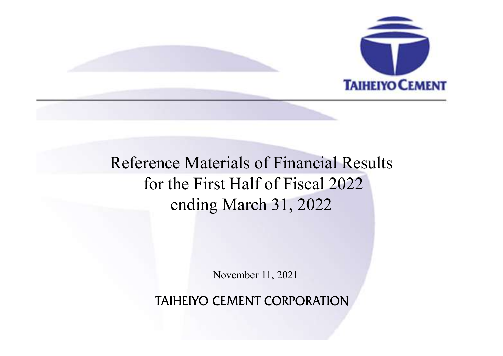

## Reference Materials of Financial Results TAIHEIYO CEMENT<br>TAIHEIYO CEMENT<br>for the First Half of Fiscal 2022<br>ending March 31, 2022 ending March 31, 2022 erials of Financial Results<br>st Half of Fiscal 2022<br>g March 31, 2022<br>November 11, 2021<br>CEMENT CORPORATION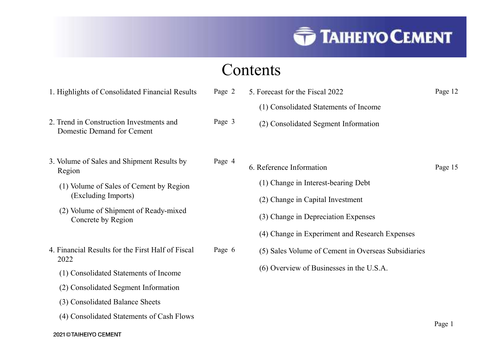### Contents

|                                                                        |        | <b>TAIHEIYO CEMENT</b>                                                   |         |
|------------------------------------------------------------------------|--------|--------------------------------------------------------------------------|---------|
|                                                                        |        | Contents                                                                 |         |
| 1. Highlights of Consolidated Financial Results                        | Page 2 | 5. Forecast for the Fiscal 2022<br>(1) Consolidated Statements of Income | Page 12 |
| 2. Trend in Construction Investments and<br>Domestic Demand for Cement | Page 3 | (2) Consolidated Segment Information                                     |         |
| 3. Volume of Sales and Shipment Results by<br>Region                   | Page 4 | 6. Reference Information                                                 | Page 15 |
| (1) Volume of Sales of Cement by Region<br>(Excluding Imports)         |        | (1) Change in Interest-bearing Debt<br>(2) Change in Capital Investment  |         |
| (2) Volume of Shipment of Ready-mixed<br>Concrete by Region            |        | (3) Change in Depreciation Expenses                                      |         |
|                                                                        |        | (4) Change in Experiment and Research Expenses                           |         |
| 4. Financial Results for the First Half of Fiscal<br>2022              | Page 6 | (5) Sales Volume of Cement in Overseas Subsidiaries                      |         |
| (1) Consolidated Statements of Income                                  |        | (6) Overview of Businesses in the U.S.A.                                 |         |
| (2) Consolidated Segment Information                                   |        |                                                                          |         |
| (3) Consolidated Balance Sheets                                        |        |                                                                          |         |
| (4) Consolidated Statements of Cash Flows                              |        |                                                                          |         |
| 2021 © TAIHEIYO CEMENT                                                 |        |                                                                          | Page 1  |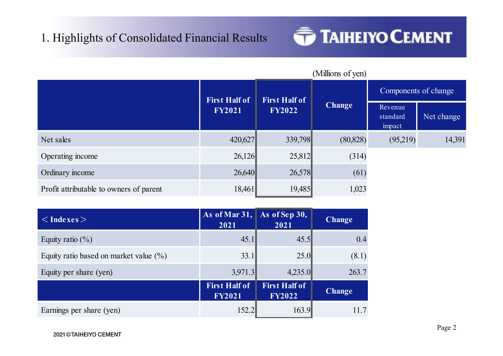# 1. Highlights of Consolidated Financial Results<br>
Million



| 1. Highlights of Consolidated Financial Results |                                                          |                                       | <b>TAIHEIYO CEMENT</b> |                               |                      |
|-------------------------------------------------|----------------------------------------------------------|---------------------------------------|------------------------|-------------------------------|----------------------|
|                                                 |                                                          |                                       | (Millions of yen)      |                               | Components of change |
|                                                 | <b>First Half of</b><br><b>FY2021</b>                    | <b>First Half of</b><br><b>FY2022</b> | <b>Change</b>          | Revenue<br>standard<br>impact | Net change           |
| Net sales                                       | 420,627                                                  | 339,798                               | (80, 828)              | (95,219)                      | 14,391               |
| Operating income                                | 26,126                                                   | 25,812                                | (314)                  |                               |                      |
| Ordinary income                                 | 26,640                                                   | 26,578                                | (61)                   |                               |                      |
| Profit attributable to owners of parent         | 18,461                                                   | 19,485                                | 1,023                  |                               |                      |
| $\langle$ Indexes $>$                           | As of Mar $31,$<br>2021                                  | As of Sep 30,<br>2021                 | <b>Change</b>          |                               |                      |
| Equity ratio $(\%)$                             | 45.1                                                     | 45.5                                  | 0.4                    |                               |                      |
| Equity ratio based on market value $(\%)$       | 33.1                                                     | 25.0                                  | (8.1)                  |                               |                      |
| Equity per share (yen)                          | 3,971.3                                                  | 4,235.0                               | 263.7                  |                               |                      |
|                                                 | <b>First Half of</b><br>$\Gamma$ V $\gamma$ 0 $\gamma$ 1 | <b>First Half of</b><br><b>EVONOO</b> | <b>Change</b>          |                               |                      |

|                                           |                                       |                                       |               | $5 \mu$ -<br>impact | $1$ vet enange |
|-------------------------------------------|---------------------------------------|---------------------------------------|---------------|---------------------|----------------|
| Net sales                                 | 420,627                               | 339,798                               | (80, 828)     | (95,219)            | 14,391         |
| Operating income                          | 26,126                                | 25,812                                | (314)         |                     |                |
| Ordinary income                           | 26,640                                | 26,578                                | (61)          |                     |                |
| Profit attributable to owners of parent   | 18,461                                | 19,485                                | 1,023         |                     |                |
|                                           |                                       |                                       |               |                     |                |
| $<$ Indexes $>$                           | As of Mar $31,$<br>2021               | As of Sep 30,<br>2021                 | <b>Change</b> |                     |                |
| Equity ratio $(\%)$                       | 45.1                                  | 45.5                                  | 0.4           |                     |                |
| Equity ratio based on market value $(\%)$ | 33.1                                  | 25.0                                  | (8.1)         |                     |                |
| Equity per share (yen)                    | 3,971.3                               | 4,235.0                               | 263.7         |                     |                |
|                                           | <b>First Half of</b><br><b>FY2021</b> | <b>First Half of</b><br><b>FY2022</b> | <b>Change</b> |                     |                |
| Earnings per share (yen)                  | 152.2                                 | 163.9                                 | 11.7          |                     |                |
| 2021 © TAIHEIYO CEMENT                    |                                       |                                       |               |                     | Page 2         |
|                                           |                                       |                                       |               |                     |                |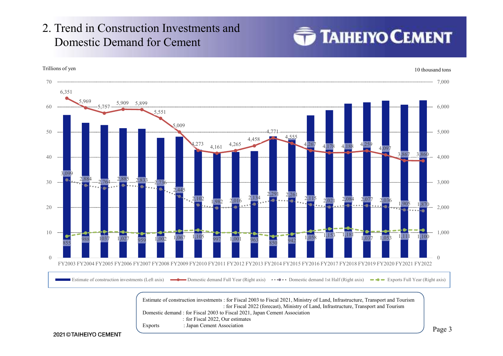# 2. Trend in Construction Investments and<br>Domestic Demand for Cement<br>Trillions of ven Domestic Demand for Cement



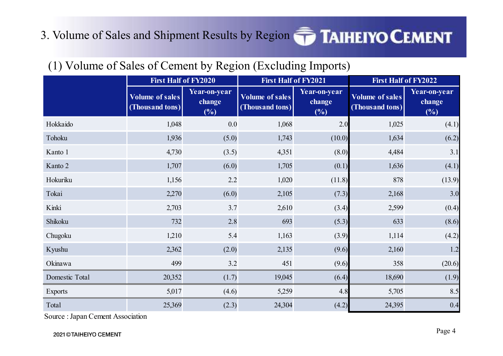### 3. Volume of Sales and Shipment Results by Region **TAIHEIYO CEMENT**

#### Volume of sales change (Thousand tons) Year-on-year change  $\left| \begin{array}{cc} \sqrt{2} & \sqrt{2} & \sqrt{2} \\ \sqrt{2} & \sqrt{2} & \sqrt{2} \end{array} \right|$  $(%)$ Volume of sales (Thousand tons)  $\begin{bmatrix} 1 & 0 \\ 0 & 1 \end{bmatrix}$ Year-on-year change  $\sqrt{m}$   $\sqrt{m}$  $(%)$ Volume of sales (Thousand tons)  $\begin{bmatrix} 1 & 0 \\ 0 & 1 \end{bmatrix}$ Year-on-year change  $(%)$ Hokkaido 1,048 (5.0 1,743 (1000) 1,68 2.0 1,68 2.1<br>
Excluding limports) First Half of FY2022<br>
Tist Half of FY2020 First Half of FY2021 First Half of FY2022<br>
Volume of sales Terror-preservative conventions of the states co For the sales of Cement by Region (Excluding Imports)<br>
(1) Volume of Sales of Cement by Region (Excluding Imports)<br>
First Half of FY2020<br>
Volume of sales (Thousand tons)<br>
(Thousand tons)<br>
(Thousand tons)<br>
(Thousand tons)<br> 1.35 (Sales and Shipment Results by Region **TAIHEIYO CEMENT**<br>
(1) Volume of Sales of Cement by Region (Excluding Imports)<br>
This Half of FV2022<br>
(Thousand Gales)<br>
(Thousand Gales)<br>
(Thousand Gales)<br>
(Sales (Sales (Sales (S First Half of Fy2022<br>
(1) Volume of Sales of Cement by Region (Excluding Imports)<br>
First Half of Fy2021<br>
First Half of Fy2021<br>
Tolume of sales<br>
(Thousand tom)<br>
(Thousand tom)<br>
(Thousand tom)<br>
(Thousand tom)<br>
(Thousand tom Hokaiab First Half of FY2021<br>
(1) Volume of Sales of Cement by Region (Excluding Imports)<br>
First Half of FY2021<br>
That Half of FY2021<br>
The Half of FY2021<br>
The Half of FY2021<br>
The Half of FY2021<br>
The Half of FY2021<br>
The Hal Tokai 2,270 (6.0) 2,105 (7.3) 2,168 3.0 (1) Volume of Sales of Cement by Region (Excluding Imports)<br>
First Half of FY2021<br>
First Half of FY2021<br>
First Half of FY2021<br>
Volume of sales<br>
(Thousand tons)<br>
(2,6)<br>
Tobicand tons)<br>
(2,6)<br>
Tobicand tons)<br>
(3,8)<br>
Tobican (**F)** Voltaine of Sates Tiest Half of FY2021<br>
Voltaine of Sates Terist Half of FY2021<br>
Voltaine of Sates Vear-on-year<br>
(Thousand tons)<br>
Technology ( $\frac{6}{5}$ )<br>
Technology (Thousand tons)<br>
Technology (Thousand tons)<br>
In th Chume of sales <sup>1</sup>Vertron-year<br>
Chume of sales <sup>1</sup>Vertron-year<br>
Chume of sales <sup>1</sup>Vertron-year<br>
Chume of sales <sup>1</sup>Vertron-year<br>
Chume of sales <sup>1</sup>Cen-o-year<br>
Chume of sales <sup>1</sup>Cen-o-year<br>
Chume of sales <sup>1</sup>Cen-o-year<br>
Chu Volume of sales<br>
(Thousand tors)<br>
(Albums and tors)<br>
(Albums and tors)<br>
(Albums and tors)<br>
(Albums and tors)<br>
(Albums and tors)<br>
(Albums and tors)<br>
(Albums and tors)<br>
(Albums and tors)<br>
(Albums and tors)<br>
(Albums and tor 11 (4.1)<br>
16 (6.6)<br>
16 (6.6)<br>
19 (6.6)<br>
19 (6.6)<br>
19 (6.6)<br>
19 (6.6)<br>
19 (6.6)<br>
19 (6.6)<br>
19 (6.6)<br>
19 (6.6)<br>
19 (6.6)<br>
19 (6.6)<br>
19 (6.6)<br>
19 (1.8)<br>
19 (5.5)<br>
19 (1.8)<br>
19 (5.5)<br>
19 (1.8)<br>
19 (3.4)<br>
19 (3.4)<br>
19 (3.4)<br>
19 11okaardo 1948 (1.08)<br>
11okaardo 1948 (1.8)<br>
11,028 (1.8)<br>
12,032 (1.8) 12,43<br>
12,000 1.705 (6.00) 1.84 (1.8)<br>
12,56 (2.1)<br>
12,166 (4.1)<br>
12,166 (2.1)<br>
12,168 (1.1.9)<br>
12,168 (3.3)<br>
12,168 3.0<br>
12,103 3.7 2,610 (3.4)<br>
12,1 Followki<br>
Kanto 2<br>
Kanto 2<br>
Kanto 2<br>
Exports<br>
Exports 5,017 (6.0)  $1.743$ <br>
(10.0)  $1.634$ <br>
Exports<br>
Exports<br>
Folkini 1.156 (6.0)  $1.705$ <br>
(6.0)  $1.705$ <br>
(6.0)  $1.705$ <br>
(6.0)  $1.89$ <br>
(8.1)  $1.806$ <br>
(8.1)  $1.806$ <br>
(8.1)  $1.8$ Kamlo 1 4,780 (3.5) 4,351 (8.0) 4,484 3.4<br>
Kamlo 2 1,707 (6.0) 1,705 (0.1) 1,636 (4.1)<br>
Hokarika 1,156 2.2 1,020 (11.8) 878 (13.9)<br>
Tokai 1,257 (6.0) 2,105 (7.3) 2,168 3.0<br>
Kinki 2,703 3.7 2,610 (3.4) 2,599 (0.4)<br>
Shikoku Shipment Results by Region  $\overbrace{\text{Fist Half of FY2020}}$ <br>
First Half of FY2020<br>
First Half of FY2020<br>
e of sales<br>  $\begin{array}{|l|l|}\n\hline\n\text{Year-on-year} & \text{Volume of sales} \\
\hline\n\end{array}$ <br>  $\begin{array}{|l|l|}\n\hline\n\text{Year-on-year} & \text{Vabume of sales} \\
\hline\n\end{array}$ <br>  $\begin{array}{|l|l|}\n\hline\n\text{Year-on-year$

#### (1) Volume of Sales of Cement by Region (Excluding Imports)

Source : Japan Cement Association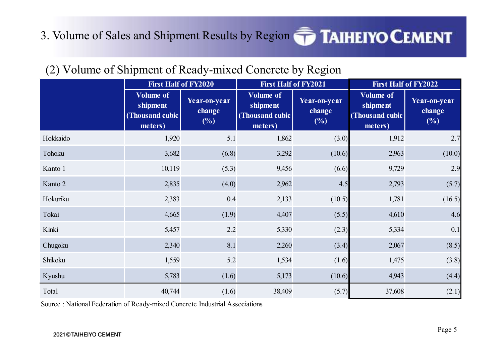## 3. Volume of Sales and Shipment Results by Region **TAIHEIYO CEMENT**

#### (2) Volume of Shipment of Ready-mixed Concrete by Region

|          | <b>First Half of FY2020</b>                                |                               | (2) Volume of Shipment of Ready-mixed Concrete by Region<br><b>First Half of FY2021</b> |                                  | First Half of FY2022                                        |                               |
|----------|------------------------------------------------------------|-------------------------------|-----------------------------------------------------------------------------------------|----------------------------------|-------------------------------------------------------------|-------------------------------|
|          | <b>Volume of</b><br>shipment<br>(Thousand cubic<br>meters) | Year-on-year<br>change<br>(%) | <b>Volume of</b><br>shipment<br>(Thousand cubic<br>meters)                              | Year-on-year<br>change<br>$(\%)$ | <b>Volume of</b><br>shipment<br>(Thous and cubic<br>meters) | Year-on-year<br>change<br>(%) |
| Hokkaido | 1,920                                                      | 5.1                           | 1,862                                                                                   | (3.0)                            | 1,912                                                       | 2.7                           |
| Tohoku   | 3,682                                                      | (6.8)                         | 3,292                                                                                   | (10.6)                           | 2,963                                                       | (10.0)                        |
| Kanto 1  | 10,119                                                     | (5.3)                         | 9,456                                                                                   | (6.6)                            | 9,729                                                       | 2.9                           |
| Kanto 2  | 2,835                                                      | (4.0)                         | 2,962                                                                                   | 4.5                              | 2,793                                                       | (5.7)                         |
| Hokuriku | 2,383                                                      | 0.4                           | 2,133                                                                                   | (10.5)                           | 1,781                                                       | (16.5)                        |
| Tokai    | 4,665                                                      | (1.9)                         | 4,407                                                                                   | (5.5)                            | 4,610                                                       | 4.6                           |
| Kinki    | 5,457                                                      | 2.2                           | 5,330                                                                                   | (2.3)                            | 5,334                                                       | 0.1                           |
| Chugoku  | 2,340                                                      | 8.1                           | 2,260                                                                                   | (3.4)                            | 2,067                                                       | (8.5)                         |
| Shikoku  | 1,559                                                      | 5.2                           | 1,534                                                                                   | (1.6)                            | 1,475                                                       | (3.8)                         |
| Kyushu   | 5,783                                                      | (1.6)                         | 5,173                                                                                   | (10.6)                           | 4,943                                                       | (4.4)                         |
| Total    | 40,744                                                     | (1.6)                         | 38,409                                                                                  | (5.7)                            | 37,608                                                      | (2.1)                         |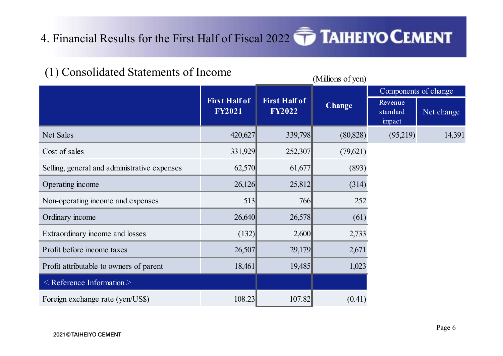## 4. Financial Results for the First Half of Fiscal 2022 **TAIHEIYO CEMENT**

Financial Results for the First Half of Fiscal 2022<br>
(1) Consolidated Statements of Income<br>
First Half of  $\begin{array}{|c|c|c|c|}\n\hline\n\text{Fist Half of} & \text{First Half of} \\
\hline\n\text{Fyz021} & \text{First Half of} \\
\hline\n\text{Fyz022} & \text{Change} \\
\hline\n\end{array}$ Revenue standard Net change impact 4. Financial Results for the First Half of Fiscal 2022<br>
(1) Consolidated Statements of Income<br>
First Half of Fist Half of Fist Half of FY2021<br>
Fist Half of FY2021<br>
Fist Half of FY2022<br>
Change  $\frac{1000000000000000000000000$ 4. Financial Results for the First Half of Fiscal 2022<br>
(1) Consolidated Statements of Income<br>
First Half of Tist Half of<br>
First Half of<br>
First Half of<br>
First Half of<br>
First Half of<br>
First Half of<br>
First Half of<br>
First Ha 4. Financial Results for the First Half of Fiscal 2022<br>
(1) Consolidated Statements of Income<br>
First Half of<br>
First Half of<br>
First Half of<br>
First Half of<br>
First Half of<br>
First Half of<br>
First Half of<br>
First Half of<br>
First 4. Financial Results for the First Half of Fiscal 2022<br>
(1) Consolidated Statements of Income<br>
Einst Half of<br>
First Half of<br>
First Half of<br>
First Half of<br>
First Half of<br>
First Half of<br>
First Half of<br>
First Half of<br>
First (1) Consolidated Statements of Income<br>
Net Sales<br>
Net Sales<br>
Net Change<br>
Net Sales<br>
Cost of sales<br>
Cost of Sales<br>
Cost of Sales<br>
Cost of Sales<br>
Cost of Sales<br>
Cost of Sales<br>
Cost of Sales<br>
Cost of Sales<br>
Cost of Sales<br>
Co (1) Consolidated Statements of Income<br>
First Half of<br>
Fixet Half of<br>
FY2022 Examples of change<br>
Examples Examples (Segare Statements of change<br>
Examples (Segare Statements of change<br>
Examples (Segare Statements of change<br> Extraordinary income and losses (132)  $2,600$  2,578<br>
Extraordinary income and losses (132)  $2,600$  2,179<br>
The Extraordinary income and losses (132)  $2,600$  2,572<br>
The Extraordinary income and losses (132)  $2,600$  2,578<br>
T **Erist Half of**<br> **Profit before income taxes**<br> **Profit before income taxes**<br> **Profit before income**<br> **Profit before income**<br> **Profit before income and assess Example 18,461<br>
<b>Profit attributable to overers of prerent**<br> **Pr** Profit attributable to owners of parent<br>
Profit attenuate to owners of parent<br>
Profit attributable to owners of parent<br>
Profit attributable to owners of parent<br>
Profit attributable to owners of parent<br>
Profit attributable  $\leq$  Reference Information $\geq$ Cost of sales<br>
Selling, general and administrative expenses<br>  $62,570$ <br>  $61,677$ <br>  $(893)$ <br>
Operating income<br>  $26,126$ <br>  $25,812$ <br>  $26,40$ <br>  $26,578$ <br>  $6$ <br>  $252$ <br>
Ordinary income and expenses<br>  $513$ <br>  $766$ <br>  $255$ <br>  $252$ <br>  $2,6$ First Half of First Half of Theorems FY2021 FISCHALL FY2022 Change FY2022 Change Exevenue<br>FY2022 Change standard Net Components of change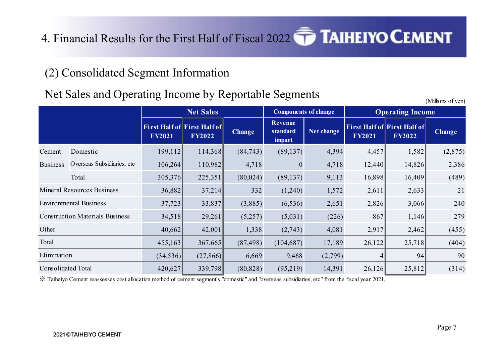# 4. Financial Results for the First Half of Fiscal 2022 **TAIHEIYO CEMENT** 1. Financial Results for the First Half of Fiscal 2022<br>
(2) Consolidated Segment Information<br>
Net Sales and Operating Income by Reportable Segments<br>
Net Sales

#### Net Sales and Operating Income by Reportable Segments

First Half of First Half of  $FY2021$   $FY2022$   $Change$ FY2022 Change standard Net change Revenue standard Net change  $\begin{bmatrix} \text{F11 S1} \\ \text{F12021} \end{bmatrix}$ impact Net change First Half of First Half of Change  $FY2022$  Change  $FY2022$  Change 4. Financial Results for the First Half of Fiscal 2022<br>
(2) Consolidated Segment Information<br>
Net Sales and Operating Income by Reportable Segments<br>
Net Sales and Operating Income<br>
Net Sales<br>
First Half of First Half of F 4. Financial Results for the First Half of Fiscal 2022 **THAIHEIYO CEMENT**<br>
(2) Consolidated Segment Information<br>
Net Sales and Operating Income by Reportable Segments<br>
<sup>Except</sup>ed to the state of First Half of Fist Half of ancial Results for the First Half of Fiscal 2022<br>
change<br>
Segments and Operating Income<br>
Section Section Component of change<br>
First Half of Fist Half of Fist Half of First Half of First Half of First Half of First Half of 11 Information<br>
11 Information<br>
11 Information<br>
11 Information<br>
11 Information<br>
11 Information<br>
11 Information<br>
11 Information<br>
11 Information<br>
114,368<br>
110,982<br>
114,368<br>
110,982<br>
114,368<br>
110,982<br>
118<br>
118<br>
118<br>
110,982<br> 11 Information<br>
11 Income by Reportable Segments<br>
Net Sales<br>
144.76<sup>1</sup> First Half of First Half of First Half of First Half of First Half of First Half of First Half of First Half of First Half of First Half of First Half 11 (11)<br>
11 (11)<br>
11 (11)<br>
11 (12)<br>
11 (13)<br>
114,368 (84,743)<br>
119,882 (84,743)<br>
119,882 (84,743)<br>
119,882 (84,743)<br>
118,5370 (84,743)<br>
118,899 (84,743)<br>
113 (1240)<br>
113 (1240)<br>
113 (1289)<br>
113 (1289)<br>
12,888 (8582 37,214 40,662 42,001 1,338 (2,743) 4,081 2,917 2,462 (455) 455,163 367,665 (87,498) (104,687) 17,189 26,122 25,718 (404) Net Sales<br>
1 Half of First Half of<br>
12021<br>
13,368<br>
199,112<br>
114,368<br>
106,264<br>
110,982<br>
14,368<br>
225,351<br>
18,882<br>
13,837<br>
14,368<br>
23,351<br>
14,368<br>
23,351<br>
14,118<br>
14,118<br>
14,118<br>
14,118<br>
14,118<br>
14,118<br>
14,457<br>
15,882<br>
16,449 11811 Tirst Half of First Half of First Half of First Half of First Half of First Half of First Half of First Half of First Half of First Half of Tax Half of Tax Half of Tax Half of Tax Half of Tax Half of Tax Half of Tax Elimination (34,536) Consolidated Total Construction Materials Business 29.261 **Other** Total st Half of Fiscal 2022<br>
FAIHEIYO CEMENT<br>
FY2022<br>
TAIHEIYO CEMENT<br>
THEIRE Operating Income<br>
ITST Half of<br>
ITST Half of<br>
ITST Half of<br>
ITST Half of<br>
ITST Half of<br>
ITST Half of<br>
ITST Half of<br>
ITST Half of<br>
ITST Half of<br>
ITST Mineral Resources Business 26.882 Environmental Business 37.723 Components of change

※ Taiheiyo Cement reassesses cost allocation method of cement segment's "domestic" and "overseas subsidiaries, etc" from the fiscal year 2021.

(Millions of yen)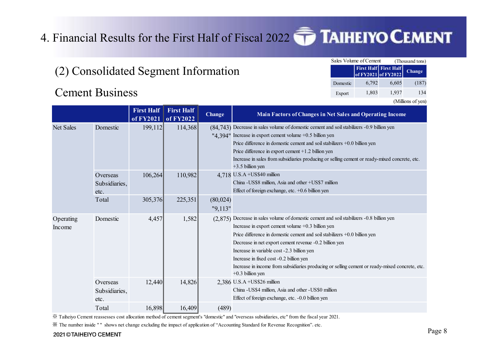# 4. Financial Results for the First Half of Fiscal 2022 Financial Results for the First Half of Fiscal 2022<br>
(2) Consolidated Segment Information<br>
Cement Business<br>
First Half First Half

|          | <b>AIHEIYO CEMENT</b>                               |       |                   |
|----------|-----------------------------------------------------|-------|-------------------|
|          |                                                     |       |                   |
|          | Sales Volume of Cement                              |       | (Thousand tons)   |
|          | <b>First Half First Half</b><br>of FY2021 of FY2022 |       | Change            |
| Domestic | 6,792                                               | 6,605 | (187)             |
| Export   | 1,803                                               | 1,937 | 134               |
|          |                                                     |       | (Millions of yen) |
|          | <b>Net Sales and Operating Income</b>               |       |                   |
|          | nd soil stabilizers -0.9 billion yen                |       |                   |

|                        |                                      |                                          |                   |                     | Financial Results for the First Half of Fiscal 2022 TAIHEIYO CEMENT                                                                                                                                                                                                                                                                                                                                                                                                                                      |
|------------------------|--------------------------------------|------------------------------------------|-------------------|---------------------|----------------------------------------------------------------------------------------------------------------------------------------------------------------------------------------------------------------------------------------------------------------------------------------------------------------------------------------------------------------------------------------------------------------------------------------------------------------------------------------------------------|
|                        |                                      |                                          |                   |                     |                                                                                                                                                                                                                                                                                                                                                                                                                                                                                                          |
|                        | (2) Consolidated Segment Information |                                          |                   |                     | Sales Volume of Cement<br>(Thousand tons)<br><b>First Half First Half</b><br>Change<br>of FY2021 of FY2022<br>6,792<br>6,605<br>(187)<br>Domestic                                                                                                                                                                                                                                                                                                                                                        |
|                        | <b>Cement Business</b>               |                                          |                   |                     | 1,937<br>134<br>1,803<br>Export<br>(Millions of yen)                                                                                                                                                                                                                                                                                                                                                                                                                                                     |
|                        |                                      | <b>First Half</b><br>of FY2021 of FY2022 | <b>First Half</b> | <b>Change</b>       | Main Factors of Changes in Net Sales and Operating Income                                                                                                                                                                                                                                                                                                                                                                                                                                                |
| Net Sales              | Domestic                             | 199,112                                  | 114,368           |                     | (84,743) Decrease in sales volume of domestic cement and soil stabilizers -0.9 billion yen<br>"4.394" Increase in export cement volume +0.5 billion yen<br>Price difference in domestic cement and soil stabilizers $+0.0$ billion yen<br>Price difference in export cement +1.2 billion yen<br>Increase in sales from subsidiaries producing or selling cement or ready-mixed concrete, etc.<br>$+3.5$ billion yen                                                                                      |
|                        | Overseas<br>Subsidiaries,<br>etc.    | 106,264                                  | 110,982           |                     | 4,718 U.S.A +US\$40 million<br>China - US\$8 million, Asia and other + US\$7 million<br>Effect of foreign exchange, etc. $+0.6$ billion yen                                                                                                                                                                                                                                                                                                                                                              |
|                        | Total                                | 305,376                                  | 225,351           | (80,024)<br>"9,113" |                                                                                                                                                                                                                                                                                                                                                                                                                                                                                                          |
| Operating<br>Income    | Domestic                             | 4,457                                    | 1,582             |                     | (2,875) Decrease in sales volume of domestic cement and soil stabilizers -0.8 billion yen<br>Increase in export cement volume +0.3 billion yen<br>Price difference in domestic cement and soil stabilizers $+0.0$ billion yen<br>Decrease in net export cement revenue -0.2 billion yen<br>Increase in variable cost -2.3 billion yen<br>Increase in fixed cost -0.2 billion yen<br>Increase in income from subsidiaries producing or selling cement or ready-mixed concrete, etc.<br>$+0.3$ billion yen |
|                        | Overseas<br>Subsidiaries,<br>etc.    | 12,440                                   | 14,826            |                     | 2,386 U.S.A + US\$26 million<br>China - US\$4 million, Asia and other - US\$0 million<br>Effect of foreign exchange, etc. -0.0 billion yen                                                                                                                                                                                                                                                                                                                                                               |
|                        | Total                                | 16,898                                   | 16,409            | (489)               |                                                                                                                                                                                                                                                                                                                                                                                                                                                                                                          |
| 2021 © TAIHEIYO CEMENT |                                      |                                          |                   |                     | X Taiheiyo Cement reassesses cost allocation method of cement segment's "domestic" and "overseas subsidiaries, etc" from the fiscal year 2021.<br>X The number inside "" shows net change excluding the impact of application of "Accounting Standard for Revenue Recognition", etc.                                                                                                                                                                                                                     |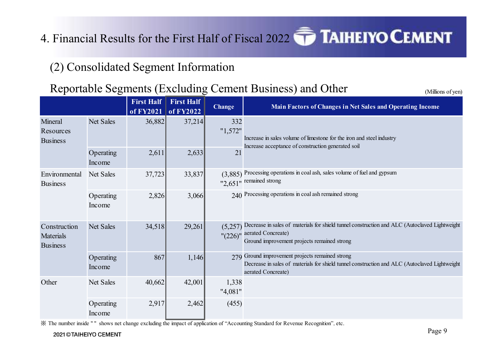# 4. Financial Results for the First Half of Fiscal 2022 **TAIHEIYO CEMENT** Financial Results for the First Half of Fiscal 2022<br>
(2) Consolidated Segment Information<br>
Reportable Segments (Excluding Cement Business) and C<br>
First Half First Half Change Main Factors of Change

#### Reportable Segments (Excluding Cement Business) and Other (Millions of yen)

First Half First Half development of the set of the set of the set of the set of the set of the set of the set of  $FY2021$  of  $FY2022$  Change **Main Factors of Changes in Net Sales and Operating Income** al Results for the First Half of Fiscal 2022<br>
solidated Segment Information<br>
ble Segments (Excluding Cement Business) and Other<br>
First Half<br>
First Half<br>
First Half<br>
First Half<br>
First Half<br>
First Half<br>
First Half<br>
First Ha "1,572" Operating  $2,611$   $2,633$ Income r the First Half of Fiscal 2022<br>
Experiment Information<br>
Sigment Information<br>
Excluding Cement Business) and Other<br>
Main Factors of Changes in Net Sales and Operating Inco<br>  $\frac{1}{6,882}$ <br>  $\frac{37,214}{2,611}$ <br>  $\frac{332}{2,611$ al Results for the First Half of Fiscal 2022<br>
Solidated Segment Information<br>
ble Segments (Excluding Cement Business) and Other<br>
First Half First Half First Half (Security 1972)<br>
Net Sales<br>
36,882 (3,885)<br>
37,214 (1,572<sup>m</sup> "2,651" remained strong  $(3,885)$  Processing operations in coal ash, sales volume of fuel and gypsum Operating 2,826 3,066 Income 2,626<br>
2,826 3,2626 2,2626 2,2626 2,2626 2,2626 2,2626 2,2626 2,2626<br>
2,2626 2,2626 2,2626 2,2626 2,2626 2,2626 2,2626 2,2626 2,2626 2,2626 2,2626 2,2626 2,2626 2,2626 2,2626 2,2626 2,2626 2,2626 2,2626 2,2626 2,2631 2,263 Net Sales 37,723<br>
Net Sales 34,518 29,261<br>
Net Sales 36,882<br>
1.572° Increase and Soperating 2.611<br>
Net Sales 37,214<br>
1.572° Increase in sales when of finestone for the iron and steel industry<br>
Depending 2,826<br>
2.611<br>
2.63  $\frac{1}{226}$ " aerated Concreate) Decrease in sales of materials for shield tunnel construction and ALC (Autoclaved Lightweight Ground improvement projects remained strong Operating 867 1,146 Income 867 1,146 279 Ground improvement projects remained strong Decrease in sales of materials for shield tunnel construction and ALC (Autoclaved Lightweight aerated Concreate) Operating 2,611<br>
Net Sales 37,723<br>
Net Sales 37,723<br>
Net Sales 40,662<br>
2,826<br>
2,826<br>
2,826<br>
2,826<br>
2,826<br>
2,826<br>
2,9261<br>
2,9261<br>
2,9261<br>
2,9261<br>
2,9261<br>
2,9261<br>
2,9261<br>
2,9261<br>
2,9261<br>
2,9261<br>
2,9261<br>
2,029)<br>
2,926 <br>
2,02 "4,081" Operating 2,917 2,462 Income 2,611 2,633 21<br>
2,7723 33,837 (3,885) Processing operations in coal ash, sales volume of fuel and gypsum<br>
2,826 3,066 229,261 emands strong<br>
2,926 2010 Processing operations in coal ash remained strong<br>
2,926 (5,257) Decr Increase in sales volume of limestone for the iron and steel industry Increase acceptance of construction generated soil Mineral Net Sales Resources Business Environmental Net Sales Business Other Net Sales Construction Net Sales 34,518 Materials Business

※ The number inside " " shows net change excluding the impact of application of "Accounting Standard for Revenue Recognition", etc.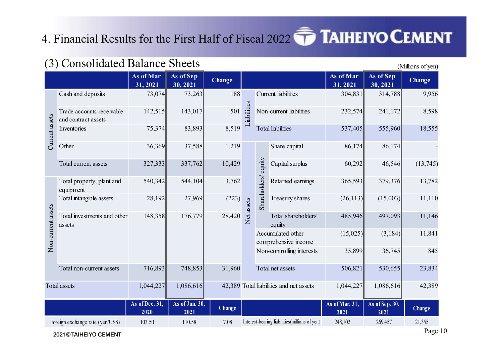### 4. Financial Results for the First Half of Fiscal 2022 **THEIM**

|                    | 4. Financial Results for the First Half of Fiscal 2022 $\widehat{\phantom{A}}$ TAIHEIYO CEMENT |                                   |                        |               |            |                                                |                        |                        |                   |
|--------------------|------------------------------------------------------------------------------------------------|-----------------------------------|------------------------|---------------|------------|------------------------------------------------|------------------------|------------------------|-------------------|
|                    | (3) Consolidated Balance Sheets                                                                |                                   |                        |               |            |                                                |                        |                        | (Millions of yen) |
|                    |                                                                                                | As of Mar<br>$\overline{31,2021}$ | As of Sep<br>30, 2021  | <b>Change</b> |            |                                                | As of Mar<br>31, 2021  | As of Sep<br>30, 2021  | <b>Change</b>     |
|                    | Cash and deposits                                                                              | 73,074                            | 73,263                 | 188           |            | <b>Current</b> liabilities                     | 304,831                | 314,788                | 9,956             |
|                    | Trade accounts receivable<br>and contract assets                                               | 142,515                           | 143,017                | 501           | iabilities | Non-current liabilities                        | 232,574                | 241,172                | 8,598             |
| Current assets     | Inventories                                                                                    | 75,374                            | 83,893                 | 8,519         |            | <b>Total liabilities</b>                       | 537,405                | 555,960                | 18,555            |
|                    | Other                                                                                          | 36,369                            | 37,588                 | 1,219         |            | Share capital                                  | 86,174                 | 86,174                 |                   |
|                    | Total current assets                                                                           | 327,333                           | 337,762                | 10,429        |            | equity<br>Capital surplus                      | 60,292                 | 46,546                 | (13,745)          |
|                    | Total property, plant and<br>equipment                                                         | 540,342                           | 544,104                | 3,762         |            | $\tilde{\mathbf{v}}$<br>Retained earnings      | 365,593                | 379,376                | 13,782            |
|                    | Total intangible assets                                                                        | 28,192                            | 27,969                 | (223)         |            | Shareholder<br>Treasury shares                 | (26,113)               | (15,003)               | 11,110            |
| Non-current assets | Total investments and other<br>assets                                                          | 148,358                           | 176,779                | 28,420        | Net assets | Total shareholders'<br>equity                  | 485,946                | 497,093                | 11,146            |
|                    |                                                                                                |                                   |                        |               |            | Accumulated other<br>comprehensive income      | (15,025)               | (3,184)                | 11,841            |
|                    |                                                                                                |                                   |                        |               |            | Non-controlling interests                      | 35,899                 | 36,745                 | 845               |
|                    | Total non-current assets                                                                       | 716,893                           | 748,853                | 31,960        |            | Total net assets                               | 506,821                | 530,655                | 23,834            |
|                    | <b>Total assets</b>                                                                            | 1,044,227                         | 1,086,616              |               |            | 42,389 Total liabilities and net assets        | 1,044,227              | 1,086,616              | 42,389            |
|                    |                                                                                                | As of Dec. 31,<br>2020            | As of Jun. 30,<br>2021 | <b>Change</b> |            |                                                | As of Mar. 31,<br>2021 | As of Sep. 30,<br>2021 | <b>Change</b>     |
|                    | Foreign exchange rate (yen/US\$)                                                               | 103.50                            | 110.58                 | 7.08          |            | Interest-bearing liabilities (millions of yen) | 248,102                | 269,457                | 21,355            |
|                    | 2021 © TAIHEIYO CEMENT                                                                         |                                   |                        |               |            |                                                |                        |                        | Page 10           |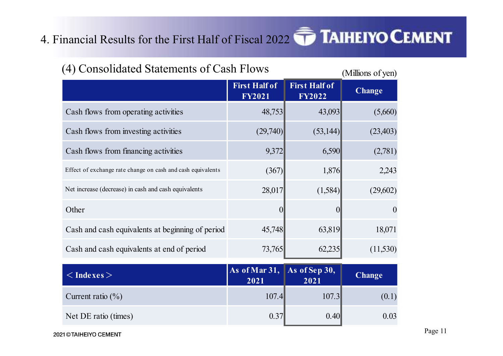### 4. Financial Results for the First Half of Fiscal 2022

| (4) Consolidated Statements of Cash Flows<br>(Millions of yen)<br><b>First Half of</b><br><b>First Half of</b><br><b>Change</b><br><b>FY2021</b><br><b>FY2022</b><br>Cash flows from operating activities<br>(5,660)<br>48,753<br>43,093<br>Cash flows from investing activities<br>(29,740)<br>(53,144)<br>(23, 403)<br>9,372<br>Cash flows from financing activities<br>6,590<br>(2,781)<br>(367)<br>Effect of exchange rate change on cash and cash equivalents<br>1,876<br>2,243<br>28,017<br>(1,584)<br>Net increase (decrease) in cash and cash equivalents<br>(29,602)<br>Other<br>Cash and cash equivalents at beginning of period<br>63,819<br>18,071<br>45,748<br>Cash and cash equivalents at end of period<br>73,765<br>62,235<br>(11,530)<br>As of Mar $31,$<br>As of Sep 30,<br>$\langle$ Indexes $>$<br><b>Change</b><br>2021<br>2021<br>107.4<br>107.3<br>(0.1)<br>Current ratio $(\% )$<br>Net DE ratio (times)<br>0.37<br>0.40<br>0.03 |                     |  |  |
|----------------------------------------------------------------------------------------------------------------------------------------------------------------------------------------------------------------------------------------------------------------------------------------------------------------------------------------------------------------------------------------------------------------------------------------------------------------------------------------------------------------------------------------------------------------------------------------------------------------------------------------------------------------------------------------------------------------------------------------------------------------------------------------------------------------------------------------------------------------------------------------------------------------------------------------------------------|---------------------|--|--|
|                                                                                                                                                                                                                                                                                                                                                                                                                                                                                                                                                                                                                                                                                                                                                                                                                                                                                                                                                          |                     |  |  |
|                                                                                                                                                                                                                                                                                                                                                                                                                                                                                                                                                                                                                                                                                                                                                                                                                                                                                                                                                          |                     |  |  |
| nancial Results for the First Half of Fiscal 2022 TAIHEIYO CEMENT                                                                                                                                                                                                                                                                                                                                                                                                                                                                                                                                                                                                                                                                                                                                                                                                                                                                                        |                     |  |  |
|                                                                                                                                                                                                                                                                                                                                                                                                                                                                                                                                                                                                                                                                                                                                                                                                                                                                                                                                                          |                     |  |  |
|                                                                                                                                                                                                                                                                                                                                                                                                                                                                                                                                                                                                                                                                                                                                                                                                                                                                                                                                                          |                     |  |  |
|                                                                                                                                                                                                                                                                                                                                                                                                                                                                                                                                                                                                                                                                                                                                                                                                                                                                                                                                                          |                     |  |  |
|                                                                                                                                                                                                                                                                                                                                                                                                                                                                                                                                                                                                                                                                                                                                                                                                                                                                                                                                                          |                     |  |  |
|                                                                                                                                                                                                                                                                                                                                                                                                                                                                                                                                                                                                                                                                                                                                                                                                                                                                                                                                                          |                     |  |  |
|                                                                                                                                                                                                                                                                                                                                                                                                                                                                                                                                                                                                                                                                                                                                                                                                                                                                                                                                                          |                     |  |  |
|                                                                                                                                                                                                                                                                                                                                                                                                                                                                                                                                                                                                                                                                                                                                                                                                                                                                                                                                                          |                     |  |  |
|                                                                                                                                                                                                                                                                                                                                                                                                                                                                                                                                                                                                                                                                                                                                                                                                                                                                                                                                                          |                     |  |  |
|                                                                                                                                                                                                                                                                                                                                                                                                                                                                                                                                                                                                                                                                                                                                                                                                                                                                                                                                                          |                     |  |  |
|                                                                                                                                                                                                                                                                                                                                                                                                                                                                                                                                                                                                                                                                                                                                                                                                                                                                                                                                                          |                     |  |  |
|                                                                                                                                                                                                                                                                                                                                                                                                                                                                                                                                                                                                                                                                                                                                                                                                                                                                                                                                                          |                     |  |  |
|                                                                                                                                                                                                                                                                                                                                                                                                                                                                                                                                                                                                                                                                                                                                                                                                                                                                                                                                                          |                     |  |  |
|                                                                                                                                                                                                                                                                                                                                                                                                                                                                                                                                                                                                                                                                                                                                                                                                                                                                                                                                                          |                     |  |  |
|                                                                                                                                                                                                                                                                                                                                                                                                                                                                                                                                                                                                                                                                                                                                                                                                                                                                                                                                                          |                     |  |  |
|                                                                                                                                                                                                                                                                                                                                                                                                                                                                                                                                                                                                                                                                                                                                                                                                                                                                                                                                                          |                     |  |  |
|                                                                                                                                                                                                                                                                                                                                                                                                                                                                                                                                                                                                                                                                                                                                                                                                                                                                                                                                                          | 1 © TAIHEIYO CEMENT |  |  |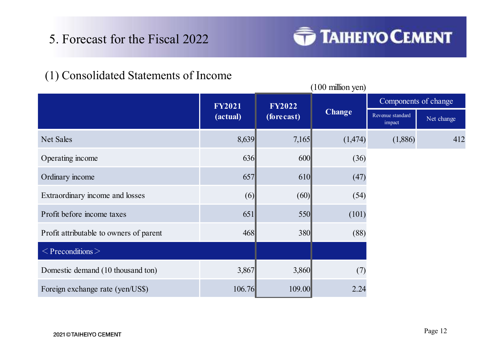# 5. Forecast for the Fiscal 2022<br>1) Consolidated Statements of Income



### (1) Consolidated Statements of Income

| 5. Forecast for the Fiscal 2022         |                           |                             | <b>TAIHEIYO CEMENT</b> |                                                    |            |
|-----------------------------------------|---------------------------|-----------------------------|------------------------|----------------------------------------------------|------------|
| (1) Consolidated Statements of Income   |                           |                             | (100 million yen)      |                                                    |            |
|                                         | <b>FY2021</b><br>(actual) | <b>FY2022</b><br>(forecast) | <b>Change</b>          | Components of change<br>Revenue standard<br>impact | Net change |
| Net Sales                               | 8,639                     | 7,165                       | (1,474)                | (1,886)                                            | 412        |
| Operating income                        | 636                       | 600                         | (36)                   |                                                    |            |
| Ordinary income                         | 657                       | 610                         | (47)                   |                                                    |            |
| Extraordinary income and losses         | (6)                       | (60)                        | (54)                   |                                                    |            |
| Profit before income taxes              | 651                       | 550                         | (101)                  |                                                    |            |
| Profit attributable to owners of parent | 468                       | 380                         | (88)                   |                                                    |            |
| $\leq$ Preconditions $>$                |                           |                             |                        |                                                    |            |
| Domestic demand (10 thousand ton)       | 3,867                     | 3,860                       | (7)                    |                                                    |            |
| Foreign exchange rate (yen/US\$)        | 106.76                    | 109.00                      | 2.24                   |                                                    |            |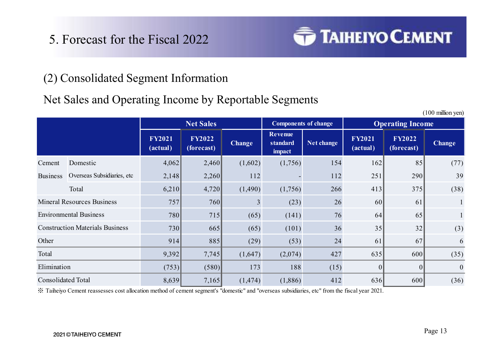# 5. Forecast for the Fiscal 2022<br>2) Consolidated Segment Information



#### (2) Consolidated Segment Information

#### Net Sales and Operating Income by Reportable Segments

|                           | (2) Consolidated Segment Information                  |                           |                             |                |                                      |            |                           |                             |                   |
|---------------------------|-------------------------------------------------------|---------------------------|-----------------------------|----------------|--------------------------------------|------------|---------------------------|-----------------------------|-------------------|
|                           | Net Sales and Operating Income by Reportable Segments |                           |                             |                |                                      |            |                           |                             |                   |
|                           |                                                       |                           | <b>Net Sales</b>            |                | <b>Components of change</b>          |            |                           | <b>Operating Income</b>     | (100 million yen) |
|                           |                                                       | <b>FY2021</b><br>(actual) | <b>FY2022</b><br>(forecast) | <b>Change</b>  | <b>Revenue</b><br>standard<br>impact | Net change | <b>FY2021</b><br>(actual) | <b>FY2022</b><br>(forecast) | <b>Change</b>     |
| Cement                    | Domestic                                              | 4,062                     | 2,460                       | (1,602)        | (1,756)                              | 154        | 162                       | 85                          | (77)              |
|                           | Business Overseas Subsidiaries, etc                   | 2,148                     | 2,260                       | 112            |                                      | 112        | 251                       | 290                         | 39                |
|                           | Total                                                 | 6,210                     | 4,720                       | (1,490)        | (1,756)                              | 266        | 413                       | 375                         | (38)              |
|                           | <b>Mineral Resources Business</b>                     | 757                       | 760                         | $\mathfrak{Z}$ | (23)                                 | 26         | 60                        | 61                          |                   |
|                           | <b>Environmental Business</b>                         | 780                       | 715                         | (65)           | (141)                                | 76         | 64                        | 65                          |                   |
|                           | <b>Construction Materials Business</b>                | 730                       | 665                         | (65)           | (101)                                | 36         | 35                        | 32                          | (3)               |
| Other                     |                                                       | 914                       | 885                         | (29)           | (53)                                 | 24         | 61                        | 67                          | 6                 |
| Total                     |                                                       | 9,392                     | 7,745                       | (1,647)        | (2,074)                              | 427        | 635                       | 600                         | (35)              |
| Elimination               |                                                       | (753)                     | (580)                       | 173            | 188                                  | (15)       | 0                         | $\boldsymbol{0}$            |                   |
| <b>Consolidated Total</b> |                                                       | 8,639                     | 7,165                       | (1, 474)       | (1,886)                              | 412        | 636                       | 600                         | (36)              |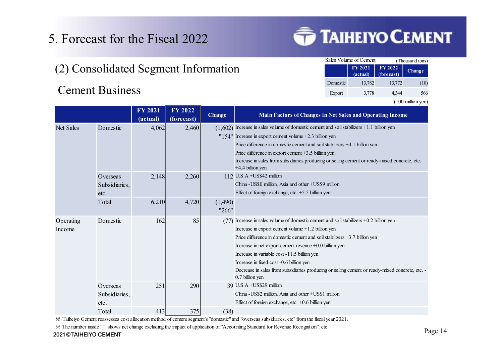# 5. Forecast for the Fiscal 2022<br>(2) Consolidated Segment Information (2) Consolidated Segment Information

|          | <b>TAIHEIYO CEMENT</b>                    |                        |                   |
|----------|-------------------------------------------|------------------------|-------------------|
|          |                                           |                        |                   |
|          | Sales Volume of Cement                    |                        | (Thousand tons)   |
|          | FY 2021<br>(actual)                       | FY 2022<br>(fore cast) | Change            |
| Domestic | 13,782                                    | 13,772                 | (10)              |
| Export   | 3,778                                     | 4,344                  | 566               |
|          |                                           |                        | (100 million yen) |
|          | in Net Sales and Operating Income         |                        |                   |
|          | ent and soil stabilizers +1.1 billion yen |                        |                   |

Forecast for the Fiscal 2022<br>
2) Consolidated Segment Information<br>
Cement Business<br>
FY 2021 FY 2022<br>
(actual)<br>
(forecast)<br>
Change Main Factors<br>
Net Sales Domestic 4,062  $2,460$  (1,602) Increase in sales volume of d  $\text{FY } 2021$   $\text{FY } 2022$   $\text{C}$ (actual) (forecast) Change **Main Factors of Changes in Net Sales and Operating Income** Ste for the Fiscal 2022<br>
Didated Segment Information<br>
Business<br>
Business<br>
Business<br>
Powers and Operation<br>  $\frac{1778}{4.002}$ <br>
FV 2021 FV 2022<br>
(thereast)<br>
(Chooge) Increase in sales volume of domages in Net Sales and Operat "154" Increase in export cement volume +2.3 billion yen Price difference in domestic cement and soil stabilizers +4.1 billion yen Price difference in export cement +3.5 billion yen Increase in sales from subsidiaries producing or selling cement or ready-mixed concrete, etc. +4.4 billion yen Overseas 2,148 2,260 112 U.S.A +US\$42 million Subsidiaries, China -US\$0 million, Asia and other +US\$9 million etc. **Effect of foreign exchange, etc. +5.5 billion yen** Domestic 162 85 (77) Increase in sales volume of domestic cement and soil stabilizers +0.2 billion yen Increase in export cement volume +1.2 billion yen Price difference in domestic cement and soil stabilizers +3.7 billion yen Increase in net export cement revenue +0.0 billion yen Increase in variable cost -11.5 billion yen Increase in fixed cost -0.6 billion yen Decrease in sales from subsidiaries producing or selling cement or ready-mixed concrete, etc. - 0.7 billion yen Overseas  $251$   $290$   $39$  U.S.A +US\$29 million Subsidiaries, China -US\$2 million, Asia and other +US\$1 million etc. Effect of foreign exchange, etc. +0.6 billion yen Documenties and the same state form and the same state in the same of one state of Breading Concerns (a) the same of the same of the same of the same of the same state of the same of the same of the same of the same of th **EXERENT SOLURISE SURFACE SET AND MANUSCRET SURFACE SURFACE SURFACE SURFACE SURFACE SURFACE SURFACE SURFACE SURFACE SURFACE SURFACE SURFACE SURFACE SURFACE SURFACE SURFACE SURFACE SURFACE SURFACE SURFACE SURFACE SURFACE S** "266" Operating Income Net Sales Domestic 4.062 Total

※ Taiheiyo Cement reassesses cost allocation method of cement segment's "domestic" and "overseas subsidiaries, etc" from the fiscal year 2021.

※ The number inside " " shows net change excluding the impact of application of "Accounting Standard for Revenue Recognition", etc.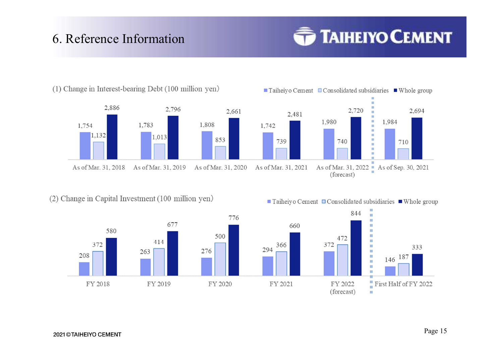# 6. Reference Information

## **TAIHEIYO CEMENT**



(2) Change in Capital Investment (100 million yen)



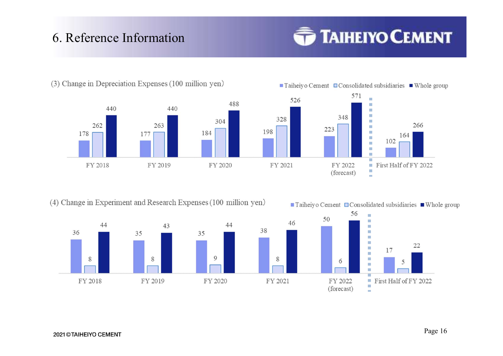# 6. Reference Information

## **TAIHEIYO CEMENT**







198

8

(4) Change in Experiment and Research Expenses (100 million yen)



 $\blacksquare$  Taiheiyo Cement  $\blacksquare$  Consolidated subsidiaries  $\blacksquare$  Whole group 56  $\frac{1}{2}$ 50 46 m **THE** m  $\mathbf{m}$ **MA** 22 m. 17 **The State** 6 5 m. FY 2022 First Half of FY 2022 i. (forecast) **COL**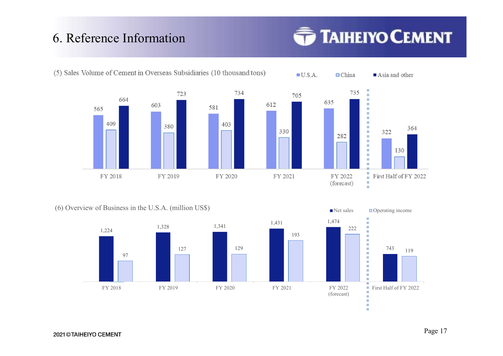# **6. Reference Information**<br>
(5) Sales Volume of Cement in Overseas Subsidiaries (10 thousand tons

## **TAIHEIYO CEMENT**



 $\blacksquare$  Asia and other

364



 $\Box$ China

 $\blacksquare$  U.S.A.

(6) Overview of Business in the U.S.A. (million US\$)  $\blacksquare$  Net sales  $\blacksquare$  Deperating income